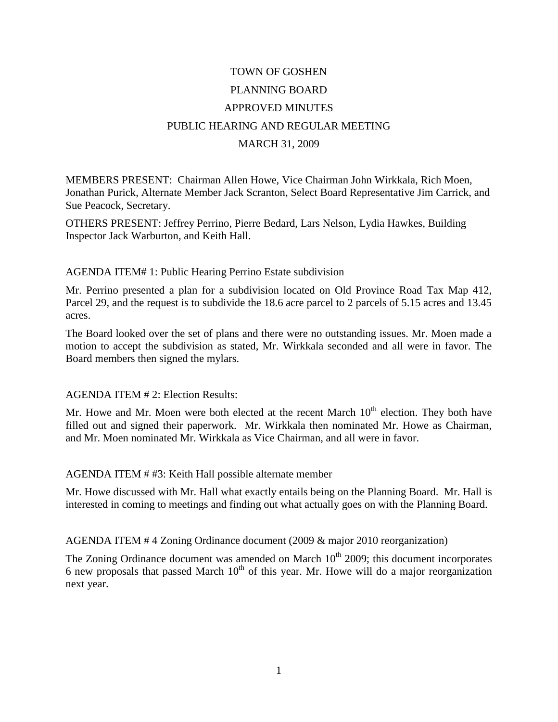## TOWN OF GOSHEN PLANNING BOARD APPROVED MINUTES PUBLIC HEARING AND REGULAR MEETING MARCH 31, 2009

MEMBERS PRESENT: Chairman Allen Howe, Vice Chairman John Wirkkala, Rich Moen, Jonathan Purick, Alternate Member Jack Scranton, Select Board Representative Jim Carrick, and Sue Peacock, Secretary.

OTHERS PRESENT: Jeffrey Perrino, Pierre Bedard, Lars Nelson, Lydia Hawkes, Building Inspector Jack Warburton, and Keith Hall.

## AGENDA ITEM# 1: Public Hearing Perrino Estate subdivision

Mr. Perrino presented a plan for a subdivision located on Old Province Road Tax Map 412, Parcel 29, and the request is to subdivide the 18.6 acre parcel to 2 parcels of 5.15 acres and 13.45 acres.

The Board looked over the set of plans and there were no outstanding issues. Mr. Moen made a motion to accept the subdivision as stated, Mr. Wirkkala seconded and all were in favor. The Board members then signed the mylars.

## AGENDA ITEM # 2: Election Results:

Mr. Howe and Mr. Moen were both elected at the recent March  $10<sup>th</sup>$  election. They both have filled out and signed their paperwork. Mr. Wirkkala then nominated Mr. Howe as Chairman, and Mr. Moen nominated Mr. Wirkkala as Vice Chairman, and all were in favor.

AGENDA ITEM # #3: Keith Hall possible alternate member

Mr. Howe discussed with Mr. Hall what exactly entails being on the Planning Board. Mr. Hall is interested in coming to meetings and finding out what actually goes on with the Planning Board.

AGENDA ITEM # 4 Zoning Ordinance document (2009 & major 2010 reorganization)

The Zoning Ordinance document was amended on March 10<sup>th</sup> 2009; this document incorporates 6 new proposals that passed March  $10<sup>th</sup>$  of this year. Mr. Howe will do a major reorganization next year.